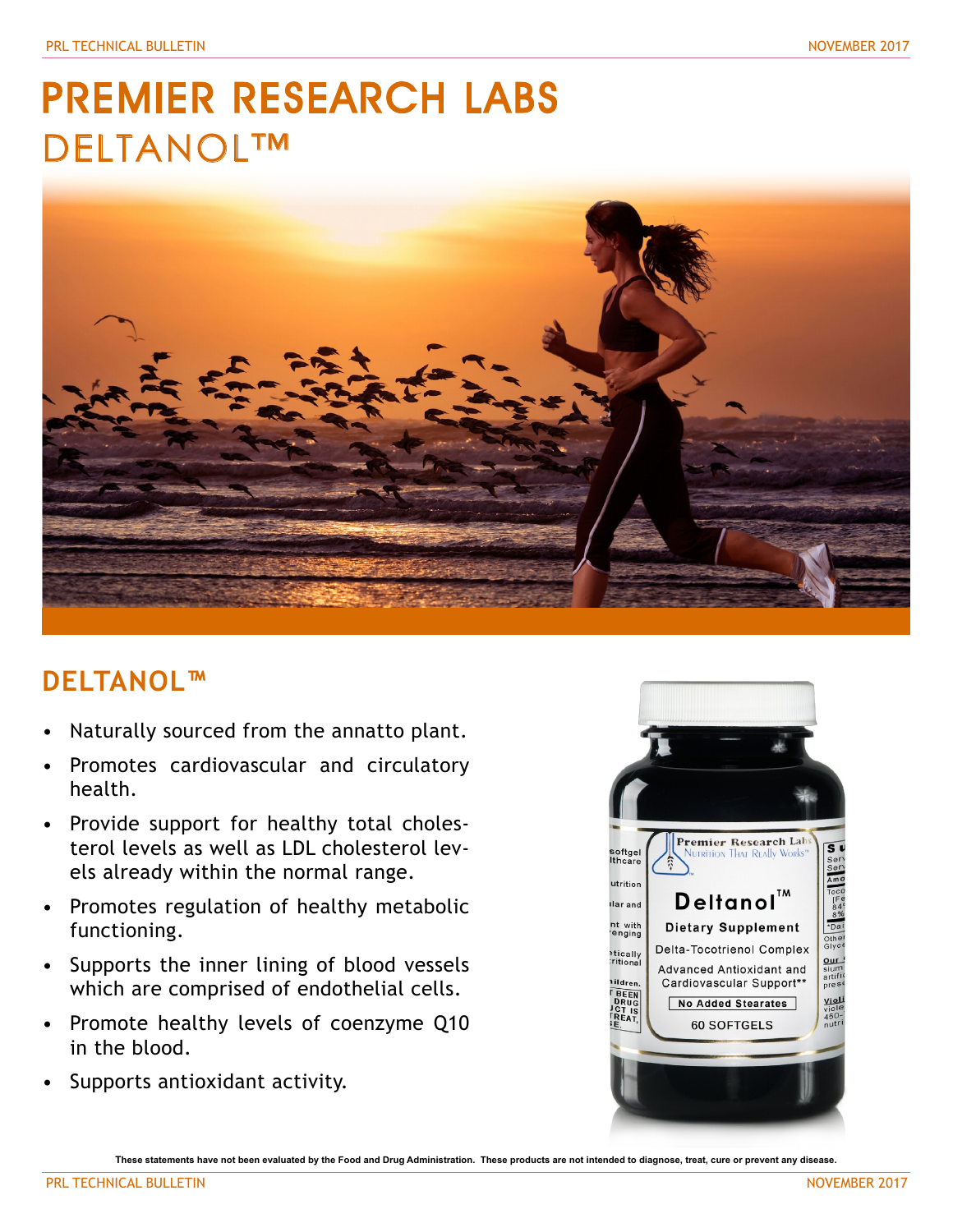## PREMIER RESEARCH LABS DELTANOL™



## **DELTANOL™**

- Naturally sourced from the annatto plant.
- Promotes cardiovascular and circulatory health.
- Provide support for healthy total cholesterol levels as well as LDL cholesterol levels already within the normal range.
- Promotes regulation of healthy metabolic functioning.
- Supports the inner lining of blood vessels which are comprised of endothelial cells.
- Promote healthy levels of coenzyme Q10 in the blood.
- Supports antioxidant activity.



**These statements have not been evaluated by the Food and Drug Administration. These products are not intended to diagnose, treat, cure or prevent any disease.**